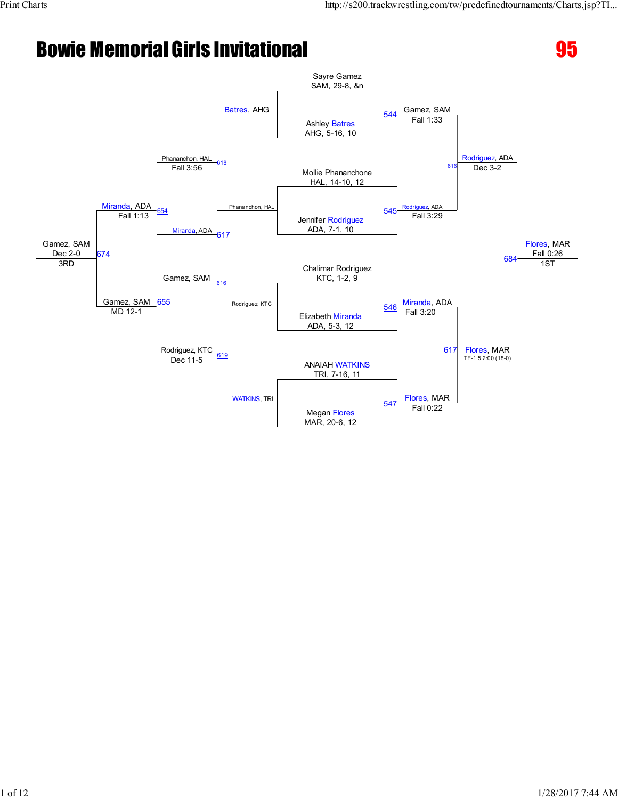# Bowie Memorial Girls Invitational 2003 2004 2005



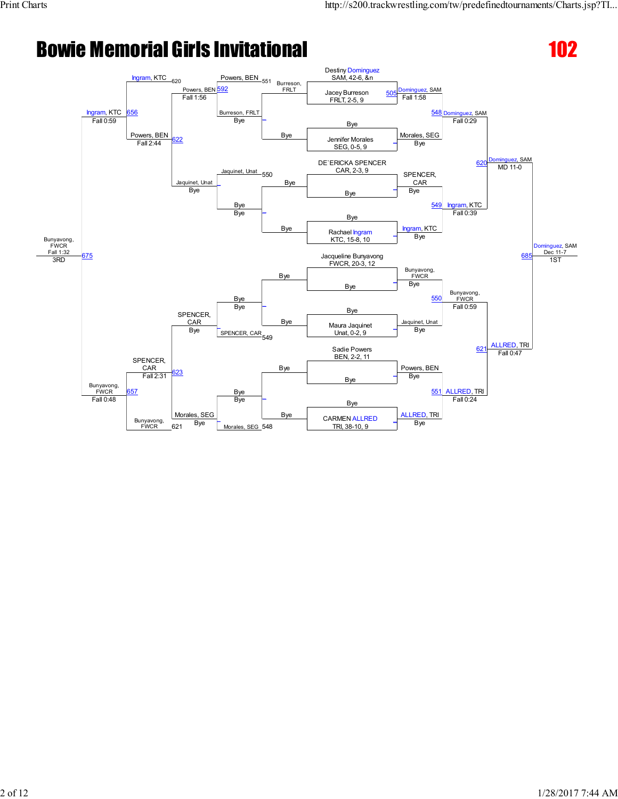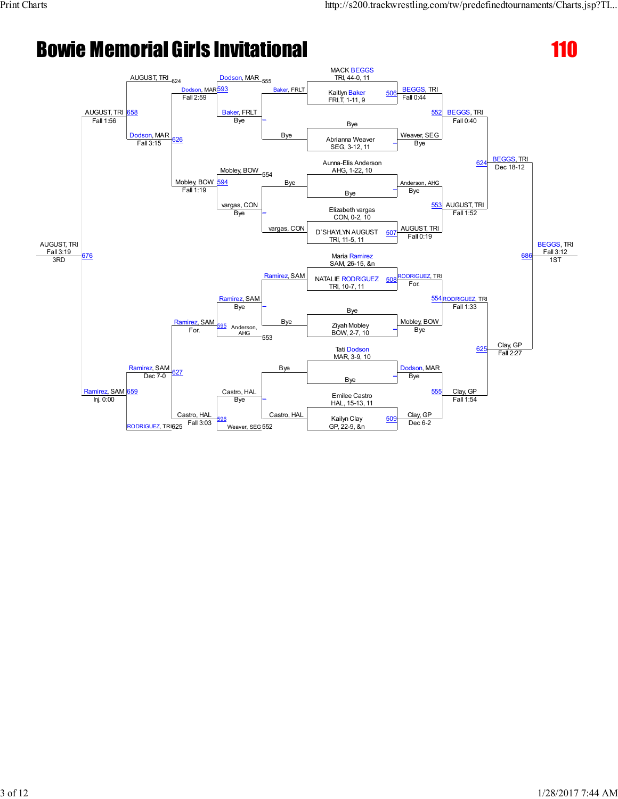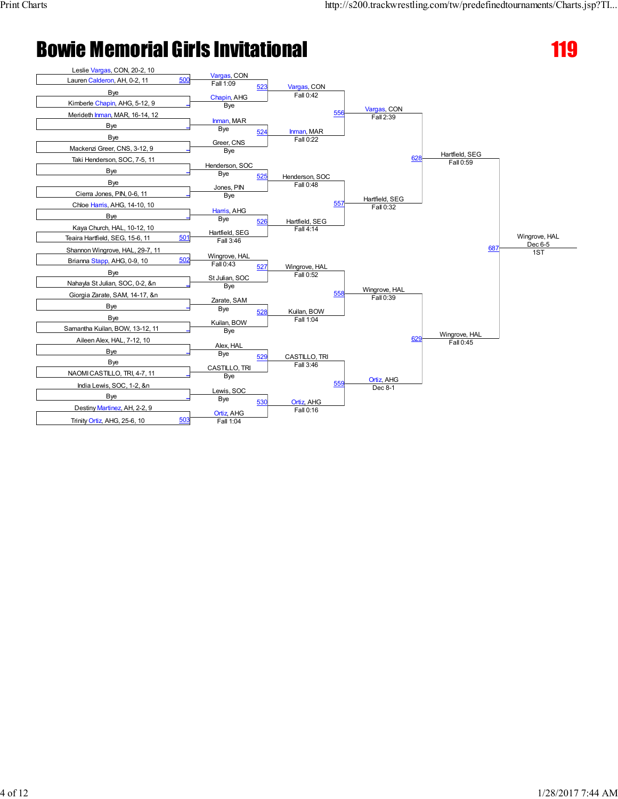

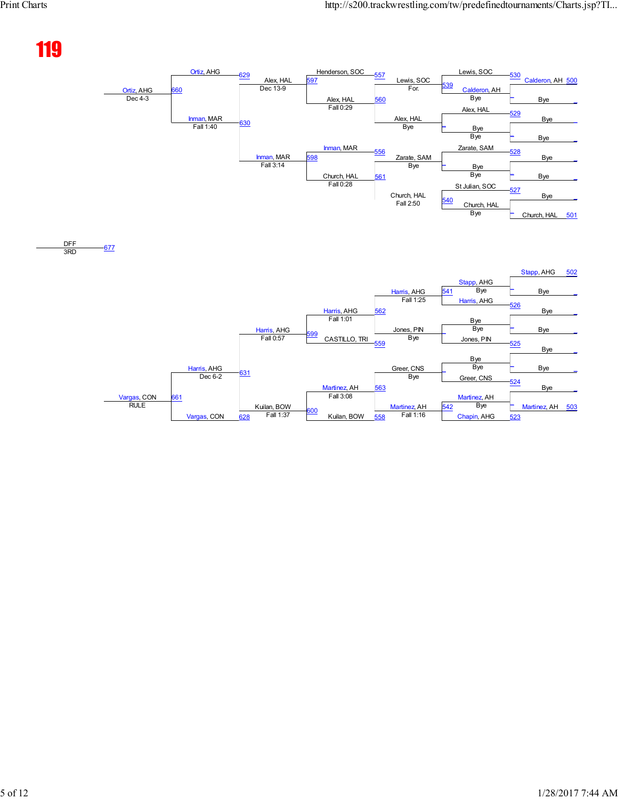# 119

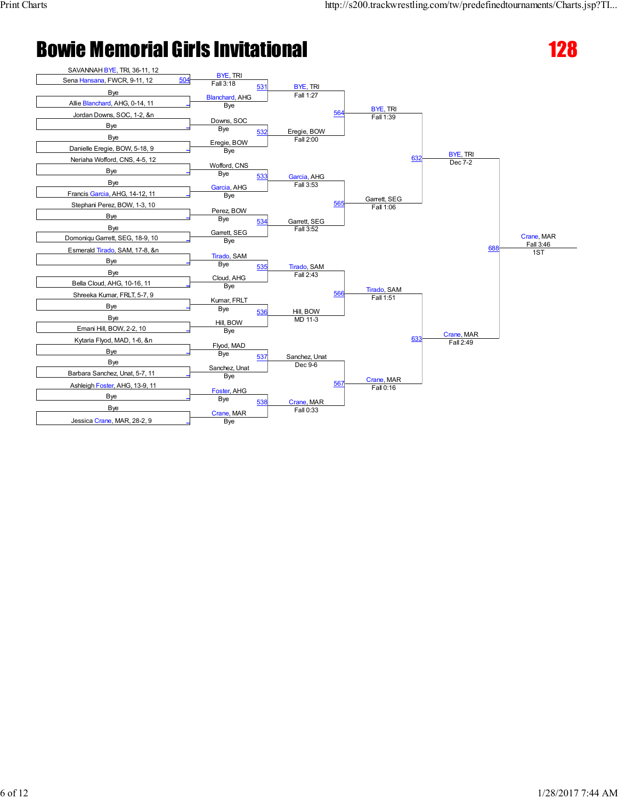

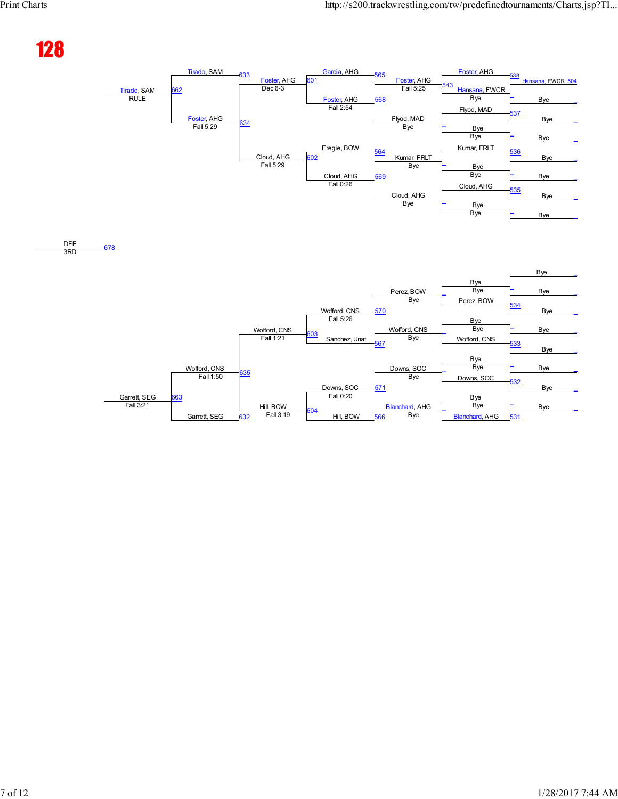## 128

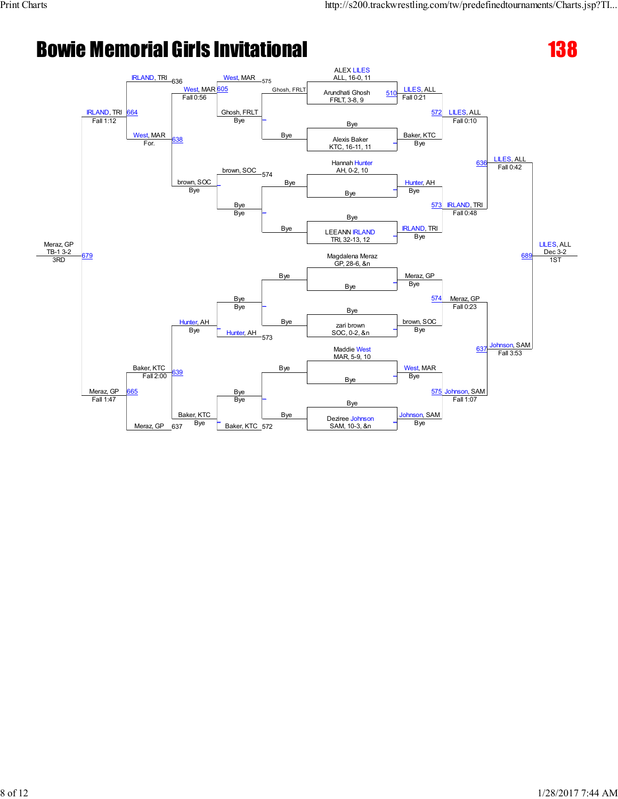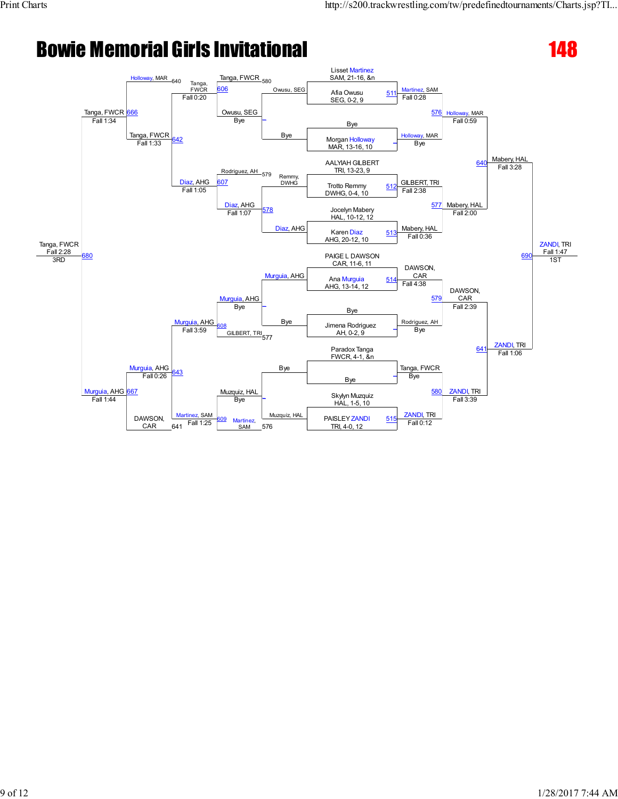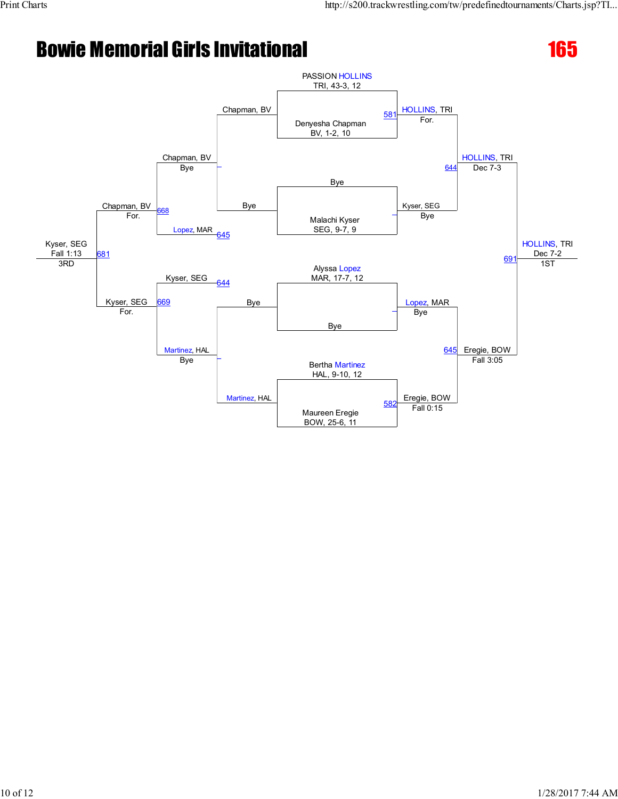

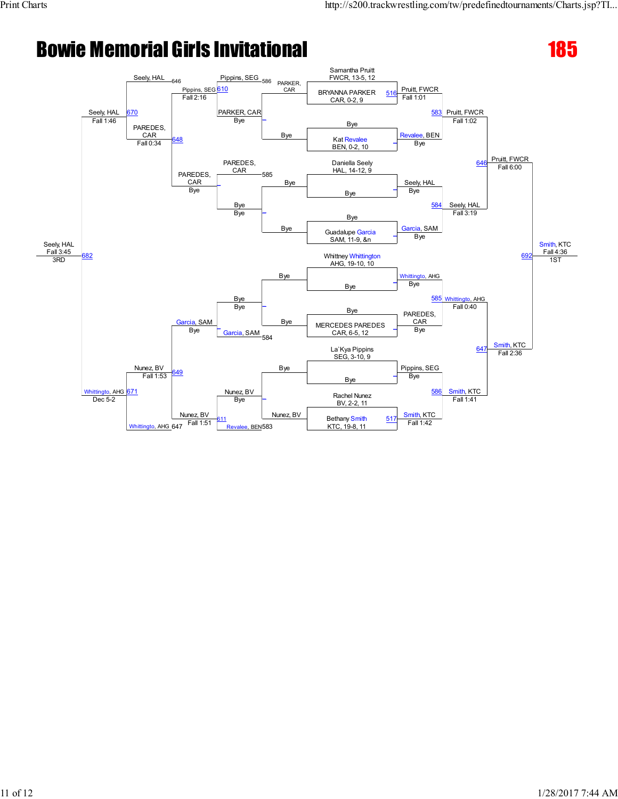